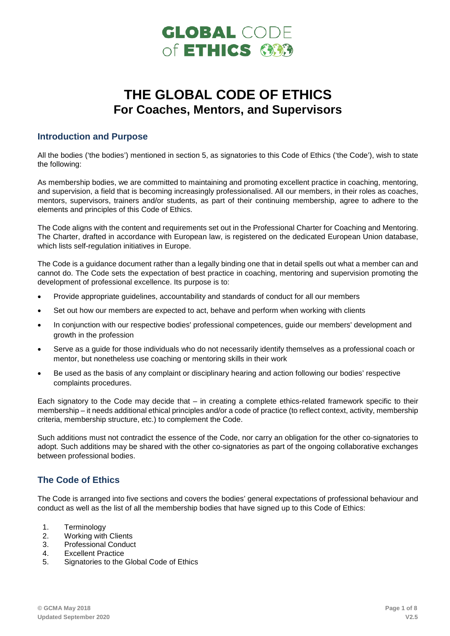

# **THE GLOBAL CODE OF ETHICS For Coaches, Mentors, and Supervisors**

# **Introduction and Purpose**

All the bodies ('the bodies') mentioned in section 5, as signatories to this Code of Ethics ('the Code'), wish to state the following:

As membership bodies, we are committed to maintaining and promoting excellent practice in coaching, mentoring, and supervision, a field that is becoming increasingly professionalised. All our members, in their roles as coaches, mentors, supervisors, trainers and/or students, as part of their continuing membership, agree to adhere to the elements and principles of this Code of Ethics.

The Code aligns with the content and requirements set out in the Professional Charter for Coaching and Mentoring. The Charter, drafted in accordance with European law, is registered on the dedicated European Union database, which lists self-regulation initiatives in Europe.

The Code is a guidance document rather than a legally binding one that in detail spells out what a member can and cannot do. The Code sets the expectation of best practice in coaching, mentoring and supervision promoting the development of professional excellence. Its purpose is to:

- Provide appropriate guidelines, accountability and standards of conduct for all our members
- Set out how our members are expected to act, behave and perform when working with clients
- In conjunction with our respective bodies' professional competences, guide our members' development and growth in the profession
- Serve as a guide for those individuals who do not necessarily identify themselves as a professional coach or mentor, but nonetheless use coaching or mentoring skills in their work
- Be used as the basis of any complaint or disciplinary hearing and action following our bodies' respective complaints procedures.

Each signatory to the Code may decide that – in creating a complete ethics-related framework specific to their membership – it needs additional ethical principles and/or a code of practice (to reflect context, activity, membership criteria, membership structure, etc.) to complement the Code.

Such additions must not contradict the essence of the Code, nor carry an obligation for the other co-signatories to adopt. Such additions may be shared with the other co-signatories as part of the ongoing collaborative exchanges between professional bodies.

# **The Code of Ethics**

The Code is arranged into five sections and covers the bodies' general expectations of professional behaviour and conduct as well as the list of all the membership bodies that have signed up to this Code of Ethics:

- 1. Terminology
- 2. Working with Clients
- 3. Professional Conduct
- 4. Excellent Practice
- 5. Signatories to the Global Code of Ethics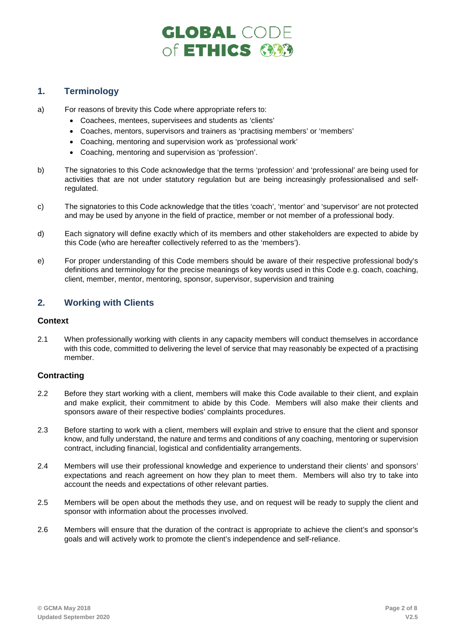# **GLOBAL CODE** of ETHICS 600

# **1. Terminology**

- a) For reasons of brevity this Code where appropriate refers to:
	- Coachees, mentees, supervisees and students as 'clients'
	- Coaches, mentors, supervisors and trainers as 'practising members' or 'members'
	- Coaching, mentoring and supervision work as 'professional work'
	- Coaching, mentoring and supervision as 'profession'.
- b) The signatories to this Code acknowledge that the terms 'profession' and 'professional' are being used for activities that are not under statutory regulation but are being increasingly professionalised and selfregulated.
- c) The signatories to this Code acknowledge that the titles 'coach', 'mentor' and 'supervisor' are not protected and may be used by anyone in the field of practice, member or not member of a professional body.
- d) Each signatory will define exactly which of its members and other stakeholders are expected to abide by this Code (who are hereafter collectively referred to as the 'members').
- e) For proper understanding of this Code members should be aware of their respective professional body's definitions and terminology for the precise meanings of key words used in this Code e.g. coach, coaching, client, member, mentor, mentoring, sponsor, supervisor, supervision and training

# **2. Working with Clients**

### **Context**

2.1 When professionally working with clients in any capacity members will conduct themselves in accordance with this code, committed to delivering the level of service that may reasonably be expected of a practising member.

# **Contracting**

- 2.2 Before they start working with a client, members will make this Code available to their client, and explain and make explicit, their commitment to abide by this Code. Members will also make their clients and sponsors aware of their respective bodies' complaints procedures.
- 2.3 Before starting to work with a client, members will explain and strive to ensure that the client and sponsor know, and fully understand, the nature and terms and conditions of any coaching, mentoring or supervision contract, including financial, logistical and confidentiality arrangements.
- 2.4 Members will use their professional knowledge and experience to understand their clients' and sponsors' expectations and reach agreement on how they plan to meet them. Members will also try to take into account the needs and expectations of other relevant parties.
- 2.5 Members will be open about the methods they use, and on request will be ready to supply the client and sponsor with information about the processes involved.
- 2.6 Members will ensure that the duration of the contract is appropriate to achieve the client's and sponsor's goals and will actively work to promote the client's independence and self-reliance.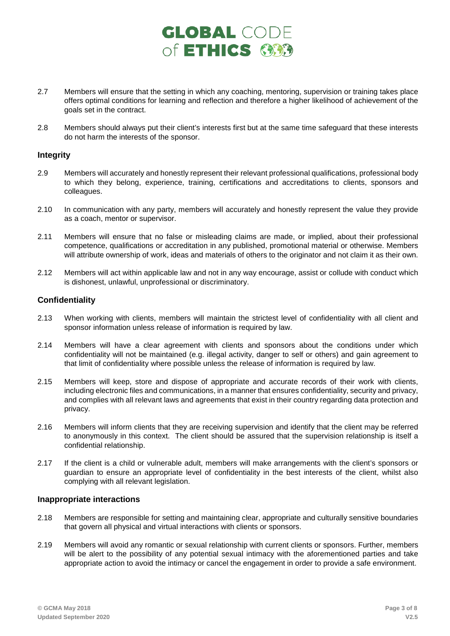# **GLOBAL CODE** of ETHICS GOO

- 2.7 Members will ensure that the setting in which any coaching, mentoring, supervision or training takes place offers optimal conditions for learning and reflection and therefore a higher likelihood of achievement of the goals set in the contract.
- 2.8 Members should always put their client's interests first but at the same time safeguard that these interests do not harm the interests of the sponsor.

### **Integrity**

- 2.9 Members will accurately and honestly represent their relevant professional qualifications, professional body to which they belong, experience, training, certifications and accreditations to clients, sponsors and colleagues.
- 2.10 In communication with any party, members will accurately and honestly represent the value they provide as a coach, mentor or supervisor.
- 2.11 Members will ensure that no false or misleading claims are made, or implied, about their professional competence, qualifications or accreditation in any published, promotional material or otherwise. Members will attribute ownership of work, ideas and materials of others to the originator and not claim it as their own.
- 2.12 Members will act within applicable law and not in any way encourage, assist or collude with conduct which is dishonest, unlawful, unprofessional or discriminatory.

# **Confidentiality**

- 2.13 When working with clients, members will maintain the strictest level of confidentiality with all client and sponsor information unless release of information is required by law.
- 2.14 Members will have a clear agreement with clients and sponsors about the conditions under which confidentiality will not be maintained (e.g. illegal activity, danger to self or others) and gain agreement to that limit of confidentiality where possible unless the release of information is required by law.
- 2.15 Members will keep, store and dispose of appropriate and accurate records of their work with clients, including electronic files and communications, in a manner that ensures confidentiality, security and privacy, and complies with all relevant laws and agreements that exist in their country regarding data protection and privacy.
- 2.16 Members will inform clients that they are receiving supervision and identify that the client may be referred to anonymously in this context. The client should be assured that the supervision relationship is itself a confidential relationship.
- 2.17 If the client is a child or vulnerable adult, members will make arrangements with the client's sponsors or guardian to ensure an appropriate level of confidentiality in the best interests of the client, whilst also complying with all relevant legislation.

# **Inappropriate interactions**

- 2.18 Members are responsible for setting and maintaining clear, appropriate and culturally sensitive boundaries that govern all physical and virtual interactions with clients or sponsors.
- 2.19 Members will avoid any romantic or sexual relationship with current clients or sponsors. Further, members will be alert to the possibility of any potential sexual intimacy with the aforementioned parties and take appropriate action to avoid the intimacy or cancel the engagement in order to provide a safe environment.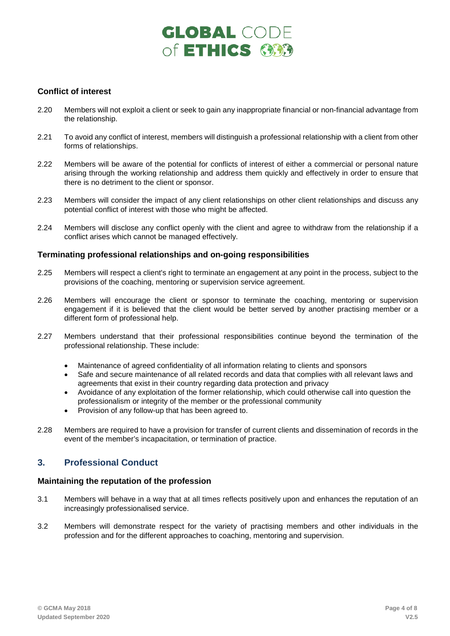# **GLOBAL CODE** of ETHICS (333

# **Conflict of interest**

- 2.20 Members will not exploit a client or seek to gain any inappropriate financial or non-financial advantage from the relationship.
- 2.21 To avoid any conflict of interest, members will distinguish a professional relationship with a client from other forms of relationships.
- 2.22 Members will be aware of the potential for conflicts of interest of either a commercial or personal nature arising through the working relationship and address them quickly and effectively in order to ensure that there is no detriment to the client or sponsor.
- 2.23 Members will consider the impact of any client relationships on other client relationships and discuss any potential conflict of interest with those who might be affected.
- 2.24 Members will disclose any conflict openly with the client and agree to withdraw from the relationship if a conflict arises which cannot be managed effectively.

### **Terminating professional relationships and on-going responsibilities**

- 2.25 Members will respect a client's right to terminate an engagement at any point in the process, subject to the provisions of the coaching, mentoring or supervision service agreement.
- 2.26 Members will encourage the client or sponsor to terminate the coaching, mentoring or supervision engagement if it is believed that the client would be better served by another practising member or a different form of professional help.
- 2.27 Members understand that their professional responsibilities continue beyond the termination of the professional relationship. These include:
	- Maintenance of agreed confidentiality of all information relating to clients and sponsors
	- Safe and secure maintenance of all related records and data that complies with all relevant laws and agreements that exist in their country regarding data protection and privacy
	- Avoidance of any exploitation of the former relationship, which could otherwise call into question the professionalism or integrity of the member or the professional community
	- Provision of any follow-up that has been agreed to.
- 2.28 Members are required to have a provision for transfer of current clients and dissemination of records in the event of the member's incapacitation, or termination of practice.

# **3. Professional Conduct**

### **Maintaining the reputation of the profession**

- 3.1 Members will behave in a way that at all times reflects positively upon and enhances the reputation of an increasingly professionalised service.
- 3.2 Members will demonstrate respect for the variety of practising members and other individuals in the profession and for the different approaches to coaching, mentoring and supervision.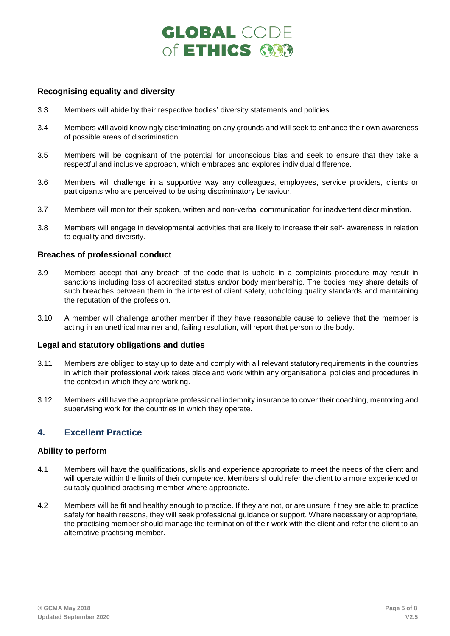# **GLOBAL CODE** of ETHICS GBB

### **Recognising equality and diversity**

- 3.3 Members will abide by their respective bodies' diversity statements and policies.
- 3.4 Members will avoid knowingly discriminating on any grounds and will seek to enhance their own awareness of possible areas of discrimination.
- 3.5 Members will be cognisant of the potential for unconscious bias and seek to ensure that they take a respectful and inclusive approach, which embraces and explores individual difference.
- 3.6 Members will challenge in a supportive way any colleagues, employees, service providers, clients or participants who are perceived to be using discriminatory behaviour.
- 3.7 Members will monitor their spoken, written and non-verbal communication for inadvertent discrimination.
- 3.8 Members will engage in developmental activities that are likely to increase their self- awareness in relation to equality and diversity.

### **Breaches of professional conduct**

- 3.9 Members accept that any breach of the code that is upheld in a complaints procedure may result in sanctions including loss of accredited status and/or body membership. The bodies may share details of such breaches between them in the interest of client safety, upholding quality standards and maintaining the reputation of the profession.
- 3.10 A member will challenge another member if they have reasonable cause to believe that the member is acting in an unethical manner and, failing resolution, will report that person to the body.

### **Legal and statutory obligations and duties**

- 3.11 Members are obliged to stay up to date and comply with all relevant statutory requirements in the countries in which their professional work takes place and work within any organisational policies and procedures in the context in which they are working.
- 3.12 Members will have the appropriate professional indemnity insurance to cover their coaching, mentoring and supervising work for the countries in which they operate.

# **4. Excellent Practice**

### **Ability to perform**

- 4.1 Members will have the qualifications, skills and experience appropriate to meet the needs of the client and will operate within the limits of their competence. Members should refer the client to a more experienced or suitably qualified practising member where appropriate.
- 4.2 Members will be fit and healthy enough to practice. If they are not, or are unsure if they are able to practice safely for health reasons, they will seek professional guidance or support. Where necessary or appropriate, the practising member should manage the termination of their work with the client and refer the client to an alternative practising member.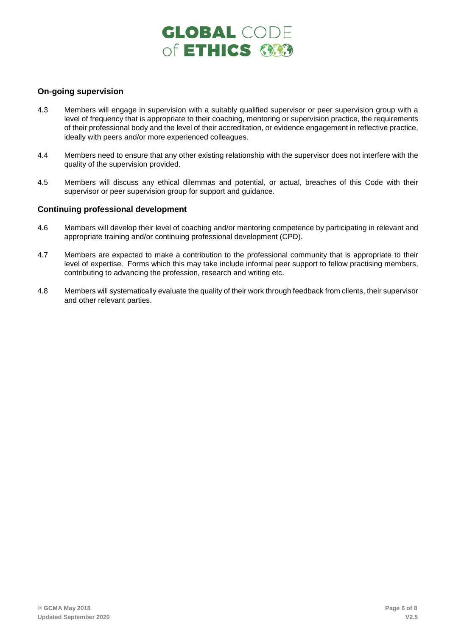# **GLOBAL CODE** of ETHICS GOO

# **On-going supervision**

- 4.3 Members will engage in supervision with a suitably qualified supervisor or peer supervision group with a level of frequency that is appropriate to their coaching, mentoring or supervision practice, the requirements of their professional body and the level of their accreditation, or evidence engagement in reflective practice, ideally with peers and/or more experienced colleagues.
- 4.4 Members need to ensure that any other existing relationship with the supervisor does not interfere with the quality of the supervision provided.
- 4.5 Members will discuss any ethical dilemmas and potential, or actual, breaches of this Code with their supervisor or peer supervision group for support and guidance.

### **Continuing professional development**

- 4.6 Members will develop their level of coaching and/or mentoring competence by participating in relevant and appropriate training and/or continuing professional development (CPD).
- 4.7 Members are expected to make a contribution to the professional community that is appropriate to their level of expertise. Forms which this may take include informal peer support to fellow practising members, contributing to advancing the profession, research and writing etc.
- 4.8 Members will systematically evaluate the quality of their work through feedback from clients, their supervisor and other relevant parties.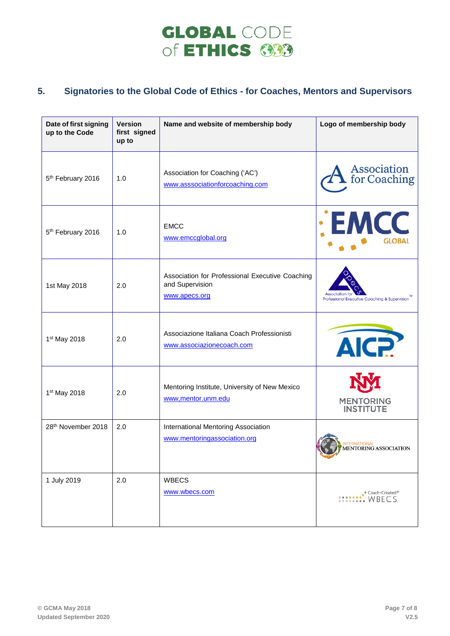# **GLOBAL CODE** of ETHICS **333**

# **5. Signatories to the Global Code of Ethics - for Coaches, Mentors and Supervisors**

| Date of first signing<br>up to the Code | <b>Version</b><br>first signed<br>up to | Name and website of membership body                                                 | Logo of membership body                                               |
|-----------------------------------------|-----------------------------------------|-------------------------------------------------------------------------------------|-----------------------------------------------------------------------|
| 5 <sup>th</sup> February 2016           | 1.0                                     | Association for Coaching ('AC')<br>www.asssociationforcoaching.com                  | <b>Association</b><br>for Coaching                                    |
| 5 <sup>th</sup> February 2016           | 1.0                                     | <b>EMCC</b><br>www.emccglobal.org                                                   | : EMCC<br><b>GLOBAI</b>                                               |
| 1st May 2018                            | 2.0                                     | Association for Professional Executive Coaching<br>and Supervision<br>www.apecs.org | Professional Executive Coaching & Supervision                         |
| 1 <sup>st</sup> May 2018                | 2.0                                     | Associazione Italiana Coach Professionisti<br>www.associazionecoach.com             | AIC?                                                                  |
| 1 <sup>st</sup> May 2018                | 2.0                                     | Mentoring Institute, University of New Mexico<br>www,mentor.unm.edu                 | <b>MENTORING</b><br>INSTITUTE                                         |
| 28th November 2018                      | 2.0                                     | International Mentoring Association<br>www.mentoringassociation.org                 | INTERNATIONAL<br>MENTORING ASSOCIATION<br><b>COLLEGE</b>              |
| 1 July 2019                             | 2.0                                     | <b>WBECS</b><br>www.wbecs.com                                                       | $\cdot$ Coach-Created*<br>$\cdot \cdot \cdot \cdot \cdot \cdot$ WBECS |